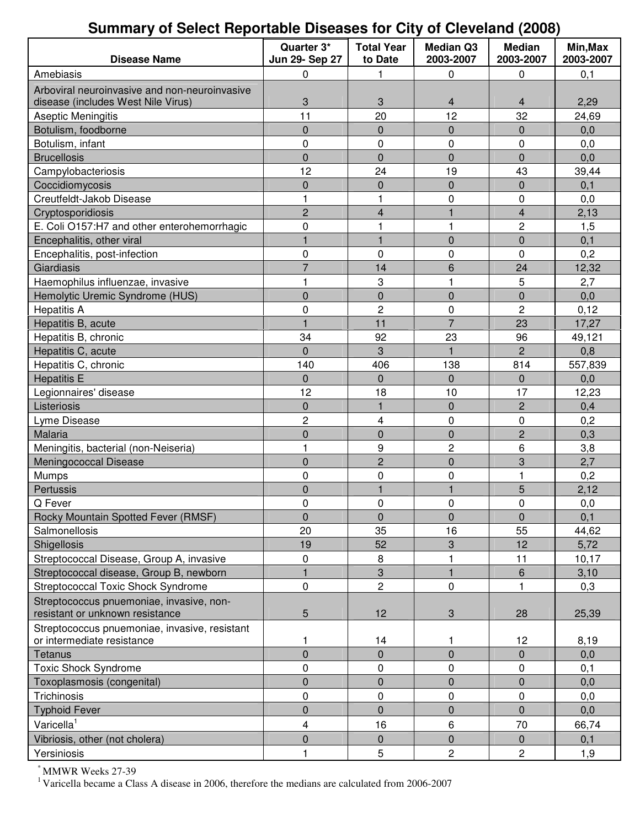## **Summary of Select Reportable Diseases for City of Cleveland (2008)**

| <b>Disease Name</b>                           | Quarter 3*<br><b>Jun 29- Sep 27</b> | <b>Total Year</b><br>to Date | <b>Median Q3</b><br>2003-2007 | <b>Median</b><br>2003-2007 | Min, Max<br>2003-2007 |
|-----------------------------------------------|-------------------------------------|------------------------------|-------------------------------|----------------------------|-----------------------|
| Amebiasis                                     | 0                                   | 1                            | 0                             | 0                          | 0,1                   |
| Arboviral neuroinvasive and non-neuroinvasive |                                     |                              |                               |                            |                       |
| disease (includes West Nile Virus)            | 3                                   | 3                            | 4                             | 4                          | 2,29                  |
| Aseptic Meningitis                            | 11                                  | 20                           | 12                            | 32                         | 24,69                 |
| Botulism, foodborne                           | 0                                   | $\pmb{0}$                    | $\overline{0}$                | $\boldsymbol{0}$           | 0,0                   |
| Botulism, infant                              | 0                                   | 0                            | 0                             | 0                          | 0,0                   |
| <b>Brucellosis</b>                            | 0                                   | $\mathbf 0$                  | $\overline{0}$                | $\mathbf 0$                | 0,0                   |
| Campylobacteriosis                            | 12                                  | 24                           | 19                            | 43                         | 39,44                 |
| Coccidiomycosis                               | 0                                   | $\pmb{0}$                    | $\overline{0}$                | 0                          | 0,1                   |
| Creutfeldt-Jakob Disease                      | 1                                   | 1                            | 0                             | 0                          | 0,0                   |
| Cryptosporidiosis                             | $\overline{c}$                      | 4                            | 1                             | 4                          | 2,13                  |
| E. Coli O157:H7 and other enterohemorrhagic   | 0                                   | $\mathbf{1}$                 | 1                             | $\overline{c}$             | 1,5                   |
| Encephalitis, other viral                     | $\mathbf{1}$                        | $\mathbf{1}$                 | $\overline{0}$                | 0                          | 0,1                   |
| Encephalitis, post-infection                  | 0                                   | 0                            | 0                             | 0                          | 0,2                   |
| Giardiasis                                    | $\overline{7}$                      | 14                           | 6                             | 24                         | 12,32                 |
| Haemophilus influenzae, invasive              | 1                                   | 3                            | 1                             | 5                          | 2,7                   |
| Hemolytic Uremic Syndrome (HUS)               | 0                                   | $\mathbf 0$                  | $\overline{0}$                | 0                          | 0,0                   |
| <b>Hepatitis A</b>                            | $\mathbf 0$                         | $\overline{c}$               | 0                             | $\overline{c}$             | 0,12                  |
| Hepatitis B, acute                            |                                     | 11                           | $\overline{7}$                | 23                         | 17,27                 |
| Hepatitis B, chronic                          | 34                                  | 92                           | 23                            | 96                         | 49,121                |
| Hepatitis C, acute                            | 0                                   | 3                            | $\mathbf{1}$                  | $\overline{2}$             | 0,8                   |
| Hepatitis C, chronic                          | 140                                 | 406                          | 138                           | 814                        | 557,839               |
| <b>Hepatitis E</b>                            | 0                                   | 0                            | 0                             | 0                          | 0,0                   |
| Legionnaires' disease                         | 12                                  | 18                           | 10                            | 17                         | 12,23                 |
| Listeriosis                                   | 0                                   | $\mathbf{1}$                 | $\overline{0}$                | $\overline{c}$             | 0,4                   |
| Lyme Disease                                  | 2                                   | 4                            | 0                             | 0                          | 0,2                   |
| Malaria                                       | $\overline{0}$                      | $\mathbf 0$                  | $\overline{0}$                | $\overline{2}$             | 0,3                   |
| Meningitis, bacterial (non-Neiseria)          | 1                                   | 9                            | $\overline{c}$                | 6                          | 3,8                   |
| <b>Meningococcal Disease</b>                  | 0                                   | $\overline{c}$               | $\overline{0}$                | 3                          | 2,7                   |
| Mumps                                         | $\mathbf 0$                         | 0                            | 0                             | 1                          | 0,2                   |
| Pertussis                                     | 0                                   | $\mathbf{1}$                 | $\mathbf{1}$                  | 5                          | 2,12                  |
| Q Fever                                       | 0                                   | 0                            | 0                             | 0                          | 0,0                   |
| Rocky Mountain Spotted Fever (RMSF)           | 0                                   | $\pmb{0}$                    | $\mathsf 0$                   | $\pmb{0}$                  | 0,1                   |
| Salmonellosis                                 | 20                                  | 35                           | 16                            | 55                         | 44,62                 |
| Shigellosis                                   | 19                                  | 52                           | 3                             | 12                         | 5,72                  |
| Streptococcal Disease, Group A, invasive      | 0                                   | 8                            |                               | 11                         | 10, 17                |
| Streptococcal disease, Group B, newborn       | $\mathbf{1}$                        | $\ensuremath{\mathsf{3}}$    | $\overline{1}$                | 6                          | 3,10                  |
| Streptococcal Toxic Shock Syndrome            | $\pmb{0}$                           | $\overline{2}$               | $\pmb{0}$                     | 1                          | 0,3                   |
| Streptococcus pnuemoniae, invasive, non-      |                                     |                              |                               |                            |                       |
| resistant or unknown resistance               | 5                                   | 12                           | 3                             | 28                         | 25,39                 |
| Streptococcus pnuemoniae, invasive, resistant |                                     |                              |                               |                            |                       |
| or intermediate resistance                    | 1                                   | 14                           | 1                             | 12                         | 8,19                  |
| Tetanus                                       | $\overline{0}$                      | $\pmb{0}$                    | $\mathbf 0$                   | 0                          | 0,0                   |
| <b>Toxic Shock Syndrome</b>                   | 0                                   | 0                            | $\pmb{0}$                     | 0                          | 0,1                   |
| Toxoplasmosis (congenital)                    | $\overline{0}$                      | $\pmb{0}$                    | $\mathbf 0$                   | 0                          | 0,0                   |
| Trichinosis                                   | 0                                   | 0                            | 0                             | 0                          | 0,0                   |
| <b>Typhoid Fever</b>                          | $\overline{0}$                      | $\pmb{0}$                    | $\mathbf 0$                   | 0                          | 0,0                   |
| Varicella <sup>1</sup>                        | 4                                   | 16                           | 6                             | 70                         | 66,74                 |
| Vibriosis, other (not cholera)                | 0                                   | $\pmb{0}$                    | $\mathbf 0$                   | $\pmb{0}$                  | 0,1                   |
| Yersiniosis                                   |                                     | 5                            | $\overline{c}$                | 2                          | 1,9                   |

\* MMWR Weeks 27-39

<sup>1</sup> Varicella became a Class A disease in 2006, therefore the medians are calculated from 2006-2007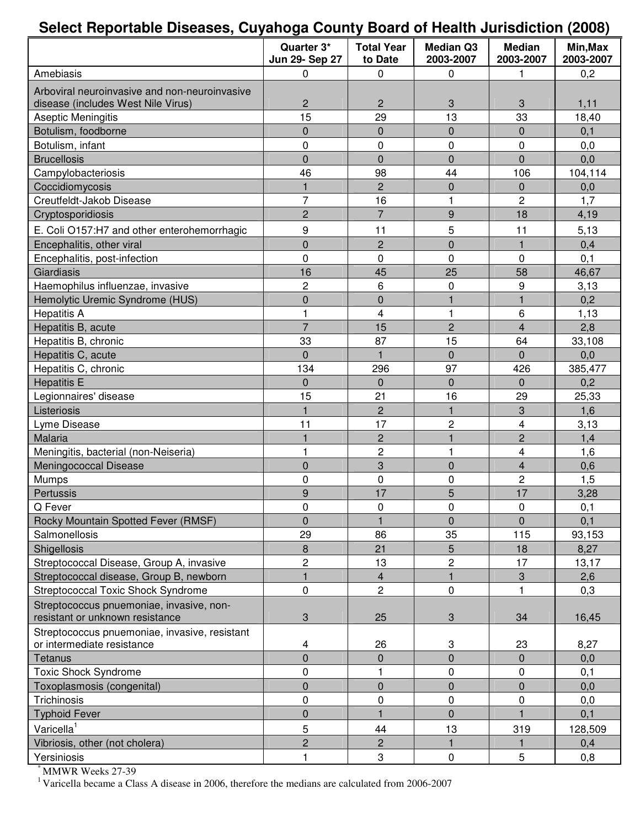## **Select Reportable Diseases, Cuyahoga County Board of Health Jurisdiction (2008)**

|                                                                                     | Quarter 3*<br>Jun 29- Sep 27 | <b>Total Year</b><br>to Date | <b>Median Q3</b><br>2003-2007  | <b>Median</b><br>2003-2007 | Min, Max<br>2003-2007 |
|-------------------------------------------------------------------------------------|------------------------------|------------------------------|--------------------------------|----------------------------|-----------------------|
| Amebiasis                                                                           | 0                            | 0                            | 0                              | 1                          | 0,2                   |
| Arboviral neuroinvasive and non-neuroinvasive<br>disease (includes West Nile Virus) | $\overline{c}$               | $\mathbf{2}$                 | 3                              | 3                          | 1,11                  |
| <b>Aseptic Meningitis</b>                                                           | 15                           | 29                           | 13                             | 33                         | 18,40                 |
| Botulism, foodborne                                                                 | $\overline{0}$               | $\pmb{0}$                    | $\mathbf 0$                    | 0                          | 0,1                   |
| Botulism, infant                                                                    | 0                            | $\mathbf 0$                  | $\mathbf 0$                    | 0                          | 0,0                   |
| <b>Brucellosis</b>                                                                  | $\overline{0}$               | $\mathbf 0$                  | $\mathbf 0$                    | $\overline{0}$             | 0,0                   |
| Campylobacteriosis                                                                  | 46                           | 98                           | 44                             | 106                        | 104,114               |
| Coccidiomycosis                                                                     | $\mathbf{1}$                 | $\overline{2}$               | $\mathbf 0$                    | 0                          | 0,0                   |
| Creutfeldt-Jakob Disease                                                            | $\overline{7}$               | 16                           | 1                              | 2                          | 1,7                   |
| Cryptosporidiosis                                                                   | $\overline{c}$               | $\overline{7}$               | 9                              | 18                         | 4,19                  |
|                                                                                     |                              |                              |                                |                            |                       |
| E. Coli O157:H7 and other enterohemorrhagic                                         | 9                            | 11                           | 5                              | 11                         | 5,13                  |
| Encephalitis, other viral                                                           | $\overline{0}$               | $\overline{c}$               | $\mathbf 0$                    | $\mathbf{1}$               | 0,4                   |
| Encephalitis, post-infection                                                        | 0                            | $\mathbf 0$                  | 0                              | 0                          | 0,1                   |
| Giardiasis                                                                          | 16                           | 45                           | 25                             | 58                         | 46,67                 |
| Haemophilus influenzae, invasive                                                    | $\overline{c}$               | 6                            | 0                              | 9                          | 3,13                  |
| Hemolytic Uremic Syndrome (HUS)                                                     | $\overline{0}$               | $\mathbf 0$                  |                                | $\mathbf{1}$               | 0,2                   |
| <b>Hepatitis A</b>                                                                  | 1                            | 4                            | 1                              | 6                          | 1,13                  |
| Hepatitis B, acute                                                                  | $\overline{7}$               | 15                           | $\overline{c}$                 | $\overline{\mathbf{4}}$    | 2,8                   |
| Hepatitis B, chronic                                                                | 33                           | 87                           | 15                             | 64                         | 33,108                |
| Hepatitis C, acute                                                                  | $\overline{0}$               | $\mathbf{1}$                 | $\mathbf 0$                    | $\overline{0}$             | 0,0                   |
| Hepatitis C, chronic                                                                | 134                          | 296                          | 97                             | 426                        | 385,477               |
| <b>Hepatitis E</b>                                                                  | 0                            | $\pmb{0}$                    | $\mathbf 0$                    | 0                          | 0,2                   |
| Legionnaires' disease                                                               | 15                           | 21                           | 16                             | 29                         | 25,33                 |
| Listeriosis                                                                         | 1                            | $\overline{c}$               | $\mathbf{1}$                   | 3                          | 1,6                   |
| Lyme Disease                                                                        | 11                           | 17                           | $\overline{c}$<br>$\mathbf{1}$ | 4                          | 3,13                  |
| Malaria                                                                             |                              | $\overline{c}$               |                                | $\overline{2}$             | 1,4                   |
| Meningitis, bacterial (non-Neiseria)                                                | 1                            | $\mathbf 2$<br>3             |                                | $\overline{\mathbf{4}}$    | 1,6                   |
| Meningococcal Disease                                                               | $\overline{0}$               |                              | $\mathbf 0$                    | $\overline{\mathbf{4}}$    | 0,6                   |
| Mumps                                                                               | 0                            | $\pmb{0}$<br>17              | 0<br>5                         | 2<br>17                    | 1,5                   |
| Pertussis                                                                           | 9                            |                              |                                |                            | 3,28                  |
| Q Fever                                                                             | 0<br>$\overline{0}$          | 0<br>$\mathbf{1}$            | $\mathsf 0$<br>$\mathbf 0$     | 0<br>$\overline{0}$        | 0,1                   |
| Rocky Mountain Spotted Fever (RMSF)<br>Salmonellosis                                | 29                           | 86                           | 35                             | 115                        | 0,1                   |
| Shigellosis                                                                         | 8                            | 21                           | 5                              | 18                         | 93,153                |
|                                                                                     | 2                            | 13                           | $\overline{c}$                 | 17                         | 8,27                  |
| Streptococcal Disease, Group A, invasive                                            | 1                            |                              | $\mathbf{1}$                   |                            | 13,17                 |
| Streptococcal disease, Group B, newborn                                             | 0                            | 4<br>$\overline{c}$          | $\mathbf 0$                    | 3<br>1                     | 2,6                   |
| <b>Streptococcal Toxic Shock Syndrome</b>                                           |                              |                              |                                |                            | 0,3                   |
| Streptococcus pnuemoniae, invasive, non-<br>resistant or unknown resistance         | 3                            | 25                           | 3                              | 34                         | 16,45                 |
| Streptococcus pnuemoniae, invasive, resistant<br>or intermediate resistance         | 4                            | 26                           | 3                              | 23                         | 8,27                  |
| Tetanus                                                                             | $\overline{0}$               | $\pmb{0}$                    | $\overline{0}$                 | 0                          | 0,0                   |
| <b>Toxic Shock Syndrome</b>                                                         | 0                            | 1                            | 0                              | 0                          | 0,1                   |
| Toxoplasmosis (congenital)                                                          | $\overline{0}$               | $\pmb{0}$                    | $\pmb{0}$                      | 0                          | 0,0                   |
| Trichinosis                                                                         | 0                            | $\pmb{0}$                    | 0                              | 0                          | 0,0                   |
| <b>Typhoid Fever</b>                                                                | $\overline{0}$               | $\mathbf{1}$                 | $\overline{0}$                 | $\mathbf{1}$               | 0,1                   |
| Varicella <sup>1</sup>                                                              | 5                            | 44                           | 13                             | 319                        | 128,509               |
| Vibriosis, other (not cholera)                                                      | $\overline{c}$               | $\overline{c}$               |                                | $\mathbf{1}$               | 0,4                   |
| Yersiniosis                                                                         |                              | $\ensuremath{\mathsf{3}}$    | $\pmb{0}$                      | 5                          | 0,8                   |

\* MMWR Weeks 27-39

<sup>1</sup> Varicella became a Class A disease in 2006, therefore the medians are calculated from 2006-2007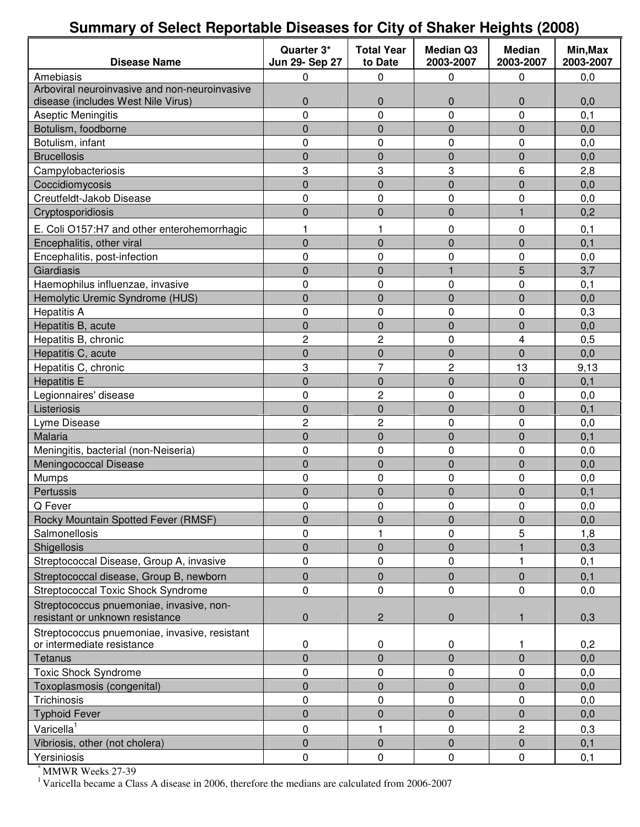## **Summary of Select Reportable Diseases for City of Shaker Heights (2008)**

| <b>Disease Name</b>                                                                 | Quarter 3*<br>Jun 29- Sep 27 | <b>Total Year</b><br>to Date | <b>Median Q3</b><br>2003-2007 | <b>Median</b><br>2003-2007 | Min, Max<br>2003-2007 |
|-------------------------------------------------------------------------------------|------------------------------|------------------------------|-------------------------------|----------------------------|-----------------------|
| Amebiasis                                                                           | 0                            | 0                            | 0                             | 0                          | 0,0                   |
| Arboviral neuroinvasive and non-neuroinvasive<br>disease (includes West Nile Virus) | 0                            | 0                            | $\mathbf 0$                   | 0                          | 0,0                   |
| Aseptic Meningitis                                                                  | 0                            | $\pmb{0}$                    | 0                             | 0                          | 0,1                   |
| Botulism, foodborne                                                                 | 0                            | $\mathbf 0$                  | $\mathbf 0$                   | 0                          | 0,0                   |
| Botulism, infant                                                                    | 0                            | 0                            | 0                             | 0                          | 0,0                   |
| <b>Brucellosis</b>                                                                  | $\overline{0}$               | $\mathbf 0$                  | $\overline{0}$                | 0                          | 0,0                   |
| Campylobacteriosis                                                                  | 3                            | 3                            | 3                             | 6                          | 2,8                   |
| Coccidiomycosis                                                                     | 0                            | $\pmb{0}$                    | $\mathbf 0$                   | 0                          | 0,0                   |
| Creutfeldt-Jakob Disease                                                            | 0                            | $\pmb{0}$                    | 0                             | 0                          | 0,0                   |
| Cryptosporidiosis                                                                   | $\overline{0}$               | $\pmb{0}$                    | $\mathbf 0$                   | $\mathbf{1}$               | 0,2                   |
| E. Coli O157:H7 and other enterohemorrhagic                                         | 1                            | 1                            | 0                             | 0                          | 0,1                   |
| Encephalitis, other viral                                                           | $\overline{0}$               | $\mathbf 0$                  | $\mathbf 0$                   | 0                          | 0,1                   |
| Encephalitis, post-infection                                                        | 0                            | 0                            | 0                             | 0                          | 0,0                   |
| Giardiasis                                                                          | 0                            | $\overline{0}$               |                               | 5                          | 3,7                   |
| Haemophilus influenzae, invasive                                                    | 0                            | $\pmb{0}$                    | 0                             | 0                          | 0,1                   |
| Hemolytic Uremic Syndrome (HUS)                                                     | $\overline{0}$               | $\mathbf 0$                  | $\overline{0}$                | 0                          | 0,0                   |
| <b>Hepatitis A</b>                                                                  | 0                            | 0                            | 0                             | 0                          | 0,3                   |
| Hepatitis B, acute                                                                  | 0                            | 0                            | $\overline{0}$                | 0                          | 0,0                   |
| Hepatitis B, chronic                                                                | $\overline{c}$               | 2                            | 0                             | 4                          | 0,5                   |
| Hepatitis C, acute                                                                  | 0                            | $\pmb{0}$                    | $\pmb{0}$                     | 0                          | 0,0                   |
| Hepatitis C, chronic                                                                | 3                            | 7                            | $\overline{c}$                | 13                         | 9,13                  |
| <b>Hepatitis E</b>                                                                  | 0                            | $\pmb{0}$                    | $\pmb{0}$                     | 0                          | 0,1                   |
| Legionnaires' disease                                                               | 0                            | 2                            | 0                             | 0                          | 0,0                   |
| Listeriosis                                                                         | 0                            | $\overline{0}$               | $\overline{0}$                | $\overline{0}$             | 0,1                   |
| Lyme Disease                                                                        | $\overline{c}$               | 2                            | 0                             | 0                          | 0,0                   |
| Malaria                                                                             | 0                            | $\mathbf 0$                  | $\mathbf 0$                   | 0                          | 0,1                   |
| Meningitis, bacterial (non-Neiseria)                                                | 0                            | 0                            | 0                             | 0                          | 0,0                   |
| Meningococcal Disease                                                               | $\overline{0}$               | $\pmb{0}$                    | $\overline{0}$                | 0                          | 0,0                   |
| Mumps                                                                               | 0                            | 0                            | 0                             | 0                          | 0,0                   |
| Pertussis                                                                           | 0                            | 0                            | $\overline{0}$                | $\overline{0}$             | 0,1                   |
| Q Fever                                                                             | $\Omega$                     | 0                            | $\mathbf{0}$                  | 0                          | 0,0                   |
| Rocky Mountain Spotted Fever (RMSF)                                                 | $\overline{0}$               | 0                            | $\mathbf{0}$                  | 0                          | 0,0                   |
| Salmonellosis                                                                       | 0                            | 1                            | 0                             | 5                          | 1,8                   |
| Shigellosis                                                                         | $\overline{0}$               | $\pmb{0}$                    | $\boldsymbol{0}$              |                            | 0,3                   |
| Streptococcal Disease, Group A, invasive                                            | 0                            | $\pmb{0}$                    | 0                             | 1                          | 0,1                   |
| Streptococcal disease, Group B, newborn                                             | 0                            | $\pmb{0}$                    | $\mathbf 0$                   | 0                          | 0,1                   |
| <b>Streptococcal Toxic Shock Syndrome</b>                                           | 0                            | $\mathbf 0$                  | 0                             | 0                          | 0,0                   |
| Streptococcus pnuemoniae, invasive, non-<br>resistant or unknown resistance         | $\mathbf 0$                  | $\mathbf 2$                  | $\pmb{0}$                     | 1                          | 0,3                   |
| Streptococcus pnuemoniae, invasive, resistant<br>or intermediate resistance         | 0                            | 0                            | 0                             | 1                          | 0,2                   |
| <b>Tetanus</b>                                                                      | $\overline{0}$               | $\mathbf 0$                  | $\overline{0}$                | 0                          | 0,0                   |
| <b>Toxic Shock Syndrome</b>                                                         | 0                            | $\pmb{0}$                    | 0                             | 0                          | 0,0                   |
| Toxoplasmosis (congenital)                                                          | $\overline{0}$               | $\pmb{0}$                    | $\boldsymbol{0}$              | 0                          | 0,0                   |
| Trichinosis                                                                         | 0                            | $\pmb{0}$                    | 0                             | 0                          | 0,0                   |
| <b>Typhoid Fever</b>                                                                | 0                            | $\pmb{0}$                    | $\pmb{0}$                     | 0                          | 0,0                   |
| Varicella <sup>1</sup>                                                              | 0                            | $\mathbf{1}$                 | 0                             | 2                          | 0,3                   |
| Vibriosis, other (not cholera)                                                      | $\mathbf 0$                  | $\mathbf 0$                  | $\pmb{0}$                     | 0                          | 0,1                   |
| Yersiniosis                                                                         | 0                            | $\pmb{0}$                    | 0                             | 0                          | 0,1                   |

\* MMWR Weeks 27-39

<sup>1</sup> Varicella became a Class A disease in 2006, therefore the medians are calculated from 2006-2007